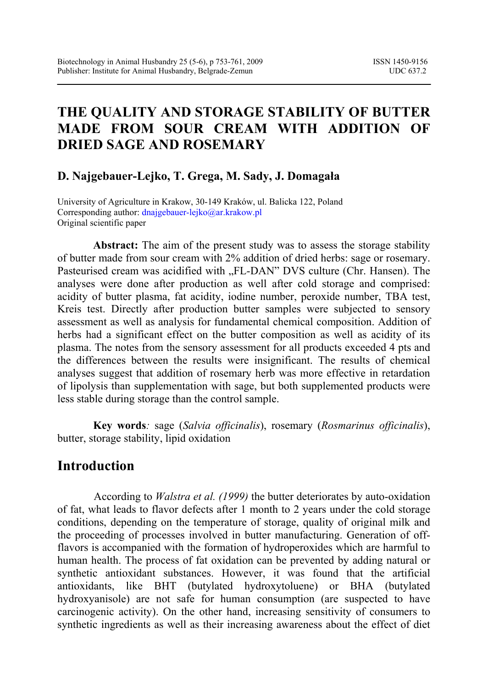# **THE QUALITY AND STORAGE STABILITY OF BUTTER MADE FROM SOUR CREAM WITH ADDITION OF DRIED SAGE AND ROSEMARY**

#### **D. Najgebauer-Lejko, T. Grega, M. Sady, J. Domagała**

University of Agriculture in Krakow, 30-149 Kraków, ul. Balicka 122, Poland Corresponding author: dnajgebauer-lejko@ar.krakow.pl Original scientific paper

**Abstract:** The aim of the present study was to assess the storage stability of butter made from sour cream with 2% addition of dried herbs: sage or rosemary. Pasteurised cream was acidified with "FL-DAN" DVS culture (Chr. Hansen). The analyses were done after production as well after cold storage and comprised: acidity of butter plasma, fat acidity, iodine number, peroxide number, TBA test, Kreis test. Directly after production butter samples were subjected to sensory assessment as well as analysis for fundamental chemical composition. Addition of herbs had a significant effect on the butter composition as well as acidity of its plasma. The notes from the sensory assessment for all products exceeded 4 pts and the differences between the results were insignificant. The results of chemical analyses suggest that addition of rosemary herb was more effective in retardation of lipolysis than supplementation with sage, but both supplemented products were less stable during storage than the control sample.

**Key words***:* sage (*Salvia officinalis*), rosemary (*Rosmarinus officinalis*), butter, storage stability, lipid oxidation

### **Introduction**

According to *Walstra et al. (1999)* the butter deteriorates by auto-oxidation of fat, what leads to flavor defects after 1 month to 2 years under the cold storage conditions, depending on the temperature of storage, quality of original milk and the proceeding of processes involved in butter manufacturing. Generation of offflavors is accompanied with the formation of hydroperoxides which are harmful to human health. The process of fat oxidation can be prevented by adding natural or synthetic antioxidant substances. However, it was found that the artificial antioxidants, like BHT (butylated hydroxytoluene) or BHA (butylated hydroxyanisole) are not safe for human consumption (are suspected to have carcinogenic activity). On the other hand, increasing sensitivity of consumers to synthetic ingredients as well as their increasing awareness about the effect of diet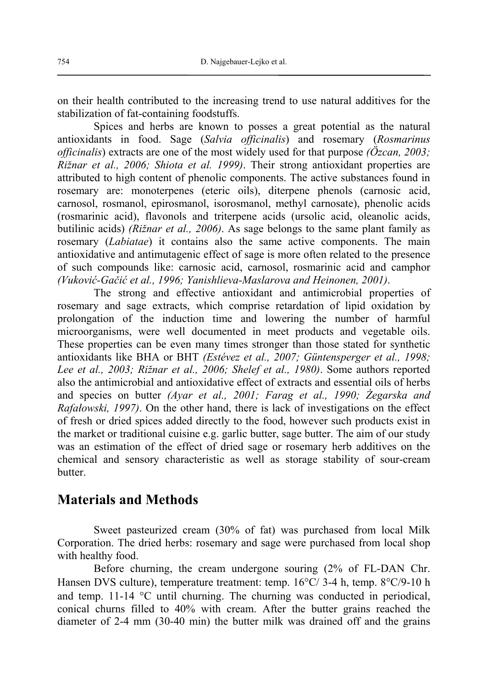on their health contributed to the increasing trend to use natural additives for the stabilization of fat-containing foodstuffs.

Spices and herbs are known to posses a great potential as the natural antioxidants in food. Sage (*Salvia officinalis*) and rosemary (*Rosmarinus officinalis*) extracts are one of the most widely used for that purpose *(Özcan, 2003; Rižnar et al., 2006; Shiota et al. 1999)*. Their strong antioxidant properties are attributed to high content of phenolic components. The active substances found in rosemary are: monoterpenes (eteric oils), diterpene phenols (carnosic acid, carnosol, rosmanol, epirosmanol, isorosmanol, methyl carnosate), phenolic acids (rosmarinic acid), flavonols and triterpene acids (ursolic acid, oleanolic acids, butilinic acids) *(Rižnar et al., 2006)*. As sage belongs to the same plant family as rosemary (*Labiatae*) it contains also the same active components. The main antioxidative and antimutagenic effect of sage is more often related to the presence of such compounds like: carnosic acid, carnosol, rosmarinic acid and camphor *(Vuković-Gačić et al., 1996; Yanishlieva-Maslarova and Heinonen, 2001)*.

The strong and effective antioxidant and antimicrobial properties of rosemary and sage extracts, which comprise retardation of lipid oxidation by prolongation of the induction time and lowering the number of harmful microorganisms, were well documented in meet products and vegetable oils. These properties can be even many times stronger than those stated for synthetic antioxidants like BHA or BHT *(Estévez et al., 2007; Güntensperger et al., 1998; Lee et al., 2003; Rižnar et al., 2006; Shelef et al., 1980)*. Some authors reported also the antimicrobial and antioxidative effect of extracts and essential oils of herbs and species on butter *(Ayar et al., 2001; Farag et al., 1990; Żegarska and Rafałowski, 1997)*. On the other hand, there is lack of investigations on the effect of fresh or dried spices added directly to the food, however such products exist in the market or traditional cuisine e.g. garlic butter, sage butter. The aim of our study was an estimation of the effect of dried sage or rosemary herb additives on the chemical and sensory characteristic as well as storage stability of sour-cream **butter** 

### **Materials and Methods**

Sweet pasteurized cream (30% of fat) was purchased from local Milk Corporation. The dried herbs: rosemary and sage were purchased from local shop with healthy food.

Before churning, the cream undergone souring (2% of FL-DAN Chr. Hansen DVS culture), temperature treatment: temp. 16°C/ 3-4 h, temp. 8°C/9-10 h and temp. 11-14 °C until churning. The churning was conducted in periodical, conical churns filled to 40% with cream. After the butter grains reached the diameter of 2-4 mm (30-40 min) the butter milk was drained off and the grains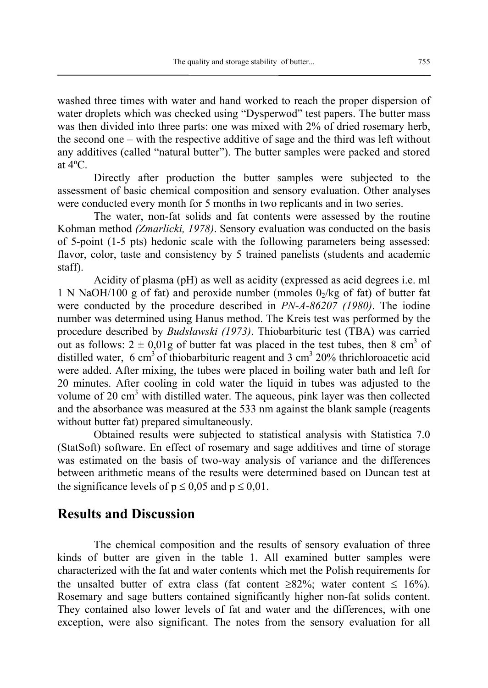washed three times with water and hand worked to reach the proper dispersion of water droplets which was checked using "Dysperwod" test papers. The butter mass was then divided into three parts: one was mixed with 2% of dried rosemary herb, the second one – with the respective additive of sage and the third was left without any additives (called "natural butter"). The butter samples were packed and stored at 4ºC.

Directly after production the butter samples were subjected to the assessment of basic chemical composition and sensory evaluation. Other analyses were conducted every month for 5 months in two replicants and in two series.

The water, non-fat solids and fat contents were assessed by the routine Kohman method *(Zmarlicki, 1978)*. Sensory evaluation was conducted on the basis of 5-point (1-5 pts) hedonic scale with the following parameters being assessed: flavor, color, taste and consistency by 5 trained panelists (students and academic staff).

Acidity of plasma (pH) as well as acidity (expressed as acid degrees i.e. ml 1 N NaOH/100 g of fat) and peroxide number (mmoles  $0<sub>2</sub>/kg$  of fat) of butter fat were conducted by the procedure described in *PN-A-86207 (1980)*. The iodine number was determined using Hanus method. The Kreis test was performed by the procedure described by *Budsławski (1973)*. Thiobarbituric test (TBA) was carried out as follows:  $2 \pm 0.01$ g of butter fat was placed in the test tubes, then 8 cm<sup>3</sup> of distilled water, 6 cm<sup>3</sup> of thiobarbituric reagent and 3 cm<sup>3</sup> 20% thrichloroacetic acid were added. After mixing, the tubes were placed in boiling water bath and left for 20 minutes. After cooling in cold water the liquid in tubes was adjusted to the volume of 20 cm<sup>3</sup> with distilled water. The aqueous, pink layer was then collected and the absorbance was measured at the 533 nm against the blank sample (reagents without butter fat) prepared simultaneously.

Obtained results were subjected to statistical analysis with Statistica 7.0 (StatSoft) software. En effect of rosemary and sage additives and time of storage was estimated on the basis of two-way analysis of variance and the differences between arithmetic means of the results were determined based on Duncan test at the significance levels of  $p \le 0.05$  and  $p \le 0.01$ .

#### **Results and Discussion**

The chemical composition and the results of sensory evaluation of three kinds of butter are given in the table 1. All examined butter samples were characterized with the fat and water contents which met the Polish requirements for the unsalted butter of extra class (fat content  $\geq 82\%$ ; water content  $\leq 16\%$ ). Rosemary and sage butters contained significantly higher non-fat solids content. They contained also lower levels of fat and water and the differences, with one exception, were also significant. The notes from the sensory evaluation for all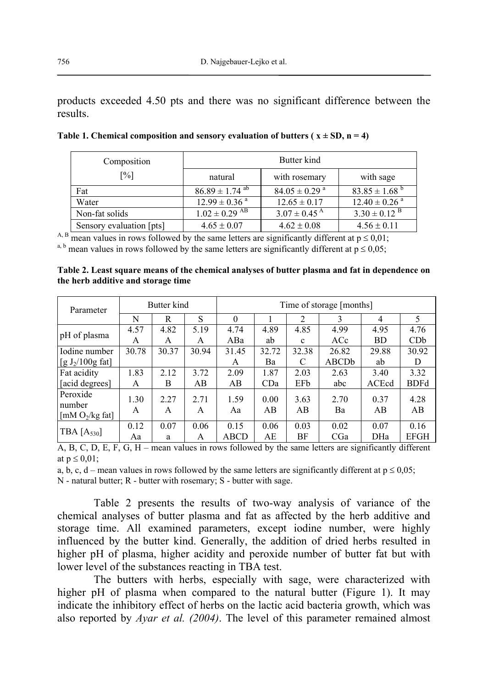products exceeded 4.50 pts and there was no significant difference between the results.

| Composition              | Butter kind                     |                               |                               |  |  |
|--------------------------|---------------------------------|-------------------------------|-------------------------------|--|--|
| $\lceil\% \rceil$        | natural                         | with rosemary                 | with sage                     |  |  |
| Fat                      | $86.89 \pm 1.74$ <sup>ab</sup>  | $84.05 \pm 0.29$ <sup>a</sup> | $83.85 \pm 1.68^{\text{b}}$   |  |  |
| Water                    | $12.99 \pm 0.36$ <sup>a</sup>   | $12.65 \pm 0.17$              | $12.40 \pm 0.26$ <sup>a</sup> |  |  |
| Non-fat solids           | $1.02 \pm 0.29$ $\overline{AB}$ | $3.07 \pm 0.45$ <sup>A</sup>  | $3.30 \pm 0.12$ <sup>B</sup>  |  |  |
| Sensory evaluation [pts] | $4.65 \pm 0.07$                 | $4.62 \pm 0.08$               | $4.56 \pm 0.11$               |  |  |

Table 1. Chemical composition and sensory evaluation of butters ( $x \pm SD$ ,  $n = 4$ )

<sup>A, B</sup> mean values in rows followed by the same letters are significantly different at  $p \le 0.01$ ;

<sup>a, b</sup> mean values in rows followed by the same letters are significantly different at  $p \le 0.05$ ;

| Table 2. Least square means of the chemical analyses of butter plasma and fat in dependence on |  |  |
|------------------------------------------------------------------------------------------------|--|--|
| the herb additive and storage time                                                             |  |  |

| Parameter                                | Butter kind |           |           | Time of storage [months] |            |              |            |            |             |
|------------------------------------------|-------------|-----------|-----------|--------------------------|------------|--------------|------------|------------|-------------|
|                                          | N           | R         | S         | $\Omega$                 |            | 2            | 3          | 4          | 5           |
| pH of plasma                             | 4.57        | 4.82      | 5.19      | 4.74                     | 4.89       | 4.85         | 4.99       | 4.95       | 4.76        |
|                                          | A           | A         | A         | ABa                      | ab         | $\mathbf{c}$ | ACc        | <b>BD</b>  | CDb         |
| Iodine number                            | 30.78       | 30.37     | 30.94     | 31.45                    | 32.72      | 32.38        | 26.82      | 29.88      | 30.92       |
| [g $J_2/100g$ fat]                       |             |           |           | A                        | Ba         | C            | ABCDb      | ab         | D           |
| Fat acidity                              | 1.83        | 2.12      | 3.72      | 2.09                     | 1.87       | 2.03         | 2.63       | 3.40       | 3.32        |
| [acid degrees]                           | A           | B         | AB        | AB                       | CDa        | EFb          | abc        | ACEcd      | <b>BDFd</b> |
| Peroxide<br>number<br>[mM $O_2$ /kg fat] | 1.30<br>A   | 2.27<br>A | 2.71<br>A | 1.59<br>Aa               | 0.00<br>AB | 3.63<br>AB   | 2.70<br>Ba | 0.37<br>AB | 4.28<br>AB  |
| TBA $[A_{530}]$                          | 0.12        | 0.07      | 0.06      | 0.15                     | 0.06       | 0.03         | 0.02       | 0.07       | 0.16        |
|                                          | Aa          | a         | A         | <b>ABCD</b>              | AE         | ВF           | CGa        | DHa        | <b>EFGH</b> |

A, B, C, D, E, F, G, H – mean values in rows followed by the same letters are significantly different at  $p \leq 0.01$ :

a, b, c, d – mean values in rows followed by the same letters are significantly different at  $p \le 0.05$ ;

N - natural butter; R - butter with rosemary; S - butter with sage.

Table 2 presents the results of two-way analysis of variance of the chemical analyses of butter plasma and fat as affected by the herb additive and storage time. All examined parameters, except iodine number, were highly influenced by the butter kind. Generally, the addition of dried herbs resulted in higher pH of plasma, higher acidity and peroxide number of butter fat but with lower level of the substances reacting in TBA test.

The butters with herbs, especially with sage, were characterized with higher pH of plasma when compared to the natural butter (Figure 1). It may indicate the inhibitory effect of herbs on the lactic acid bacteria growth, which was also reported by *Ayar et al. (2004)*. The level of this parameter remained almost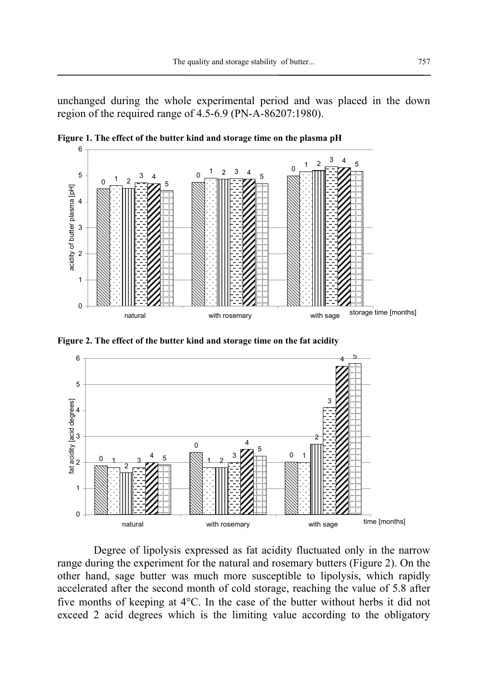unchanged during the whole experimental period and was placed in the down region of the required range of 4.5-6.9 (PN-A-86207:1980).



**Figure 1. The effect of the butter kind and storage time on the plasma pH** 

**Figure 2. The effect of the butter kind and storage time on the fat acidity** 



Degree of lipolysis expressed as fat acidity fluctuated only in the narrow range during the experiment for the natural and rosemary butters (Figure 2). On the other hand, sage butter was much more susceptible to lipolysis, which rapidly accelerated after the second month of cold storage, reaching the value of 5.8 after five months of keeping at 4°C. In the case of the butter without herbs it did not exceed 2 acid degrees which is the limiting value according to the obligatory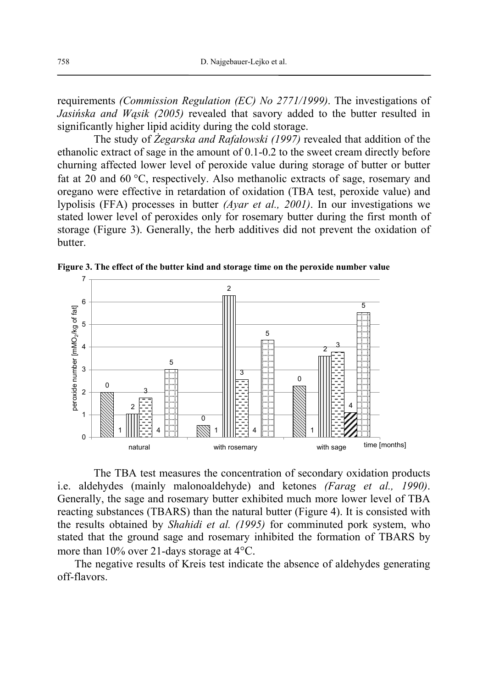requirements *(Commission Regulation (EC) No 2771/1999)*. The investigations of *Jasińska and Wąsik (2005)* revealed that savory added to the butter resulted in significantly higher lipid acidity during the cold storage.

The study of *Żegarska and Rafałowski (1997)* revealed that addition of the ethanolic extract of sage in the amount of 0.1-0.2 to the sweet cream directly before churning affected lower level of peroxide value during storage of butter or butter fat at 20 and 60 °C, respectively. Also methanolic extracts of sage, rosemary and oregano were effective in retardation of oxidation (TBA test, peroxide value) and lypolisis (FFA) processes in butter *(Ayar et al., 2001)*. In our investigations we stated lower level of peroxides only for rosemary butter during the first month of storage (Figure 3). Generally, the herb additives did not prevent the oxidation of butter.

**Figure 3. The effect of the butter kind and storage time on the peroxide number value** 



The TBA test measures the concentration of secondary oxidation products i.e. aldehydes (mainly malonoaldehyde) and ketones *(Farag et al., 1990)*. Generally, the sage and rosemary butter exhibited much more lower level of TBA reacting substances (TBARS) than the natural butter (Figure 4). It is consisted with the results obtained by *Shahidi et al. (1995)* for comminuted pork system, who stated that the ground sage and rosemary inhibited the formation of TBARS by more than 10% over 21-days storage at 4°C.

The negative results of Kreis test indicate the absence of aldehydes generating off-flavors.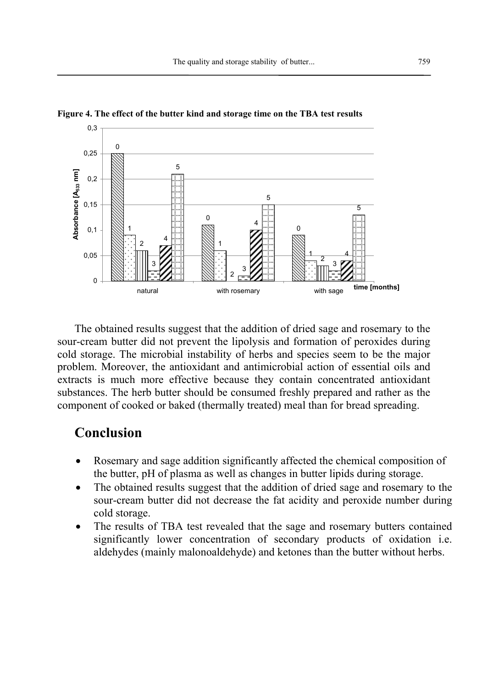

**Figure 4. The effect of the butter kind and storage time on the TBA test results**

The obtained results suggest that the addition of dried sage and rosemary to the sour-cream butter did not prevent the lipolysis and formation of peroxides during cold storage. The microbial instability of herbs and species seem to be the major problem. Moreover, the antioxidant and antimicrobial action of essential oils and extracts is much more effective because they contain concentrated antioxidant substances. The herb butter should be consumed freshly prepared and rather as the component of cooked or baked (thermally treated) meal than for bread spreading.

### **Conclusion**

- Rosemary and sage addition significantly affected the chemical composition of the butter, pH of plasma as well as changes in butter lipids during storage.
- The obtained results suggest that the addition of dried sage and rosemary to the sour-cream butter did not decrease the fat acidity and peroxide number during cold storage.
- The results of TBA test revealed that the sage and rosemary butters contained significantly lower concentration of secondary products of oxidation i.e. aldehydes (mainly malonoaldehyde) and ketones than the butter without herbs.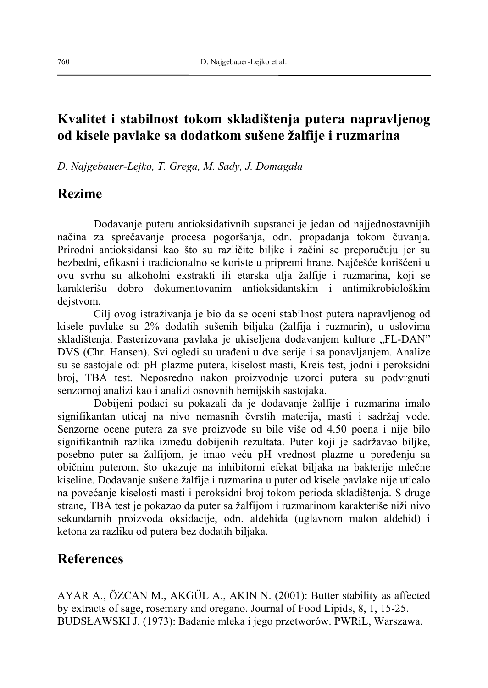# **Kvalitet i stabilnost tokom skladištenja putera napravljenog od kisele pavlake sa dodatkom sušene žalfije i ruzmarina**

*D. Najgebauer-Lejko, T. Grega, M. Sady, J. Domagała* 

## **Rezime**

Dodavanje puteru antioksidativnih supstanci je jedan od najjednostavnijih načina za sprečavanje procesa pogoršanja, odn. propadanja tokom čuvanja. Prirodni antioksidansi kao što su različite biljke i začini se preporučuju jer su bezbedni, efikasni i tradicionalno se koriste u pripremi hrane. Najčešće korišćeni u ovu svrhu su alkoholni ekstrakti ili etarska ulja žalfije i ruzmarina, koji se karakterišu dobro dokumentovanim antioksidantskim i antimikrobiološkim dejstvom.

Cilj ovog istraživanja je bio da se oceni stabilnost putera napravljenog od kisele pavlake sa 2% dodatih sušenih biljaka (žalfija i ruzmarin), u uslovima skladištenja. Pasterizovana pavlaka je ukiseljena dodavanjem kulture "FL-DAN" DVS (Chr. Hansen). Svi ogledi su urađeni u dve serije i sa ponavljanjem. Analize su se sastojale od: pH plazme putera, kiselost masti, Kreis test, jodni i peroksidni broj, TBA test. Neposredno nakon proizvodnje uzorci putera su podvrgnuti senzornoj analizi kao i analizi osnovnih hemijskih sastojaka.

Dobijeni podaci su pokazali da je dodavanje žalfije i ruzmarina imalo signifikantan uticaj na nivo nemasnih čvrstih materija, masti i sadržaj vode. Senzorne ocene putera za sve proizvode su bile više od 4.50 poena i nije bilo signifikantnih razlika između dobijenih rezultata. Puter koji je sadržavao biljke, posebno puter sa žalfijom, je imao veću pH vrednost plazme u poređenju sa običnim puterom, što ukazuje na inhibitorni efekat biljaka na bakterije mlečne kiseline. Dodavanje sušene žalfije i ruzmarina u puter od kisele pavlake nije uticalo na povećanje kiselosti masti i peroksidni broj tokom perioda skladištenja. S druge strane, TBA test je pokazao da puter sa žalfijom i ruzmarinom karakteriše niži nivo sekundarnih proizvoda oksidacije, odn. aldehida (uglavnom malon aldehid) i ketona za razliku od putera bez dodatih biljaka.

## **References**

AYAR A., ÖZCAN M., AKGÜL A., AKIN N. (2001): Butter stability as affected by extracts of sage, rosemary and oregano. Journal of Food Lipids, 8, 1, 15-25. BUDSŁAWSKI J. (1973): Badanie mleka i jego przetworów. PWRiL, Warszawa.